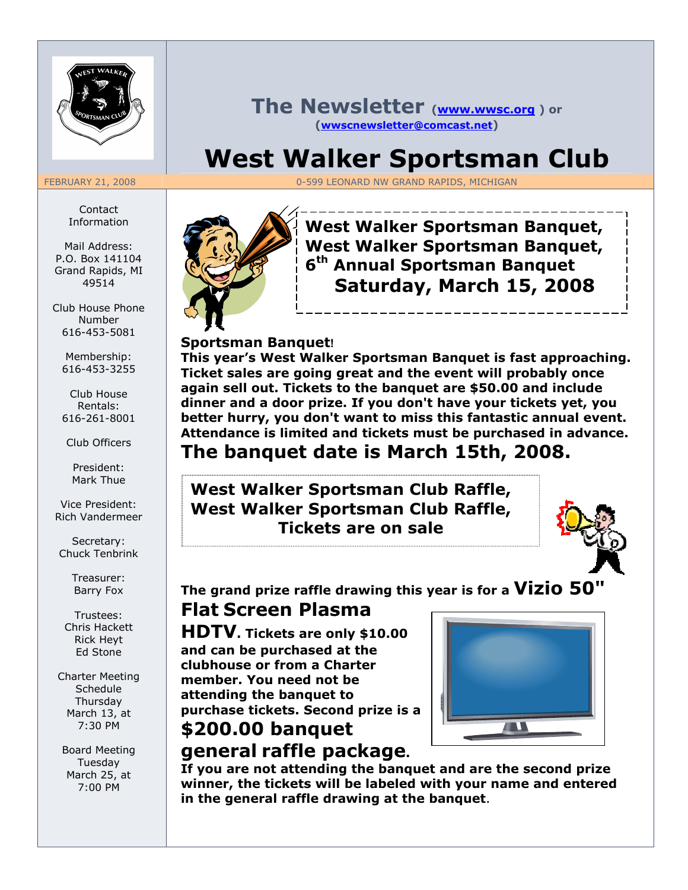

#### The Newsletter (www.wwsc.org) or (wwscnewsletter@comcast.net)

# West Walker Sportsman Club

FEBRUARY 21, 2008 **CALL 2008 CONTROL 2008 CONTROL 2008** 0-599 LEONARD NW GRAND RAPIDS, MICHIGAN

Contact Information

Mail Address: P.O. Box 141104 Grand Rapids, MI 49514

Club House Phone Number 616-453-5081

Membership: 616-453-3255

Club House Rentals: 616-261-8001

Club Officers

President: Mark Thue

Vice President: Rich Vandermeer

Secretary: Chuck Tenbrink

> Treasurer: Barry Fox

Trustees: Chris Hackett Rick Heyt Ed Stone

Charter Meeting Schedule **Thursdav** March 13, at 7:30 PM

Board Meeting Tuesday March 25, at 7:00 PM



West Walker Sportsman Banquet, West Walker Sportsman Banquet, 6<sup>th</sup> Annual Sportsman Banquet Saturday, March 15, 2008

#### Sportsman Banquet!

This year's West Walker Sportsman Banquet is fast approaching. Ticket sales are going great and the event will probably once again sell out. Tickets to the banquet are \$50.00 and include dinner and a door prize. If you don't have your tickets yet, you better hurry, you don't want to miss this fantastic annual event. Attendance is limited and tickets must be purchased in advance. The banquet date is March 15th, 2008.

### West Walker Sportsman Club Raffle, West Walker Sportsman Club Raffle, Tickets are on sale



The grand prize raffle drawing this year is for a  $Vizio 50"$ 

## Flat Screen Plasma

HDTV. Tickets are only \$10.00 and can be purchased at the clubhouse or from a Charter member. You need not be attending the banquet to purchase tickets. Second prize is a \$200.00 banquet



# general raffle package.

If you are not attending the banquet and are the second prize winner, the tickets will be labeled with your name and entered in the general raffle drawing at the banquet.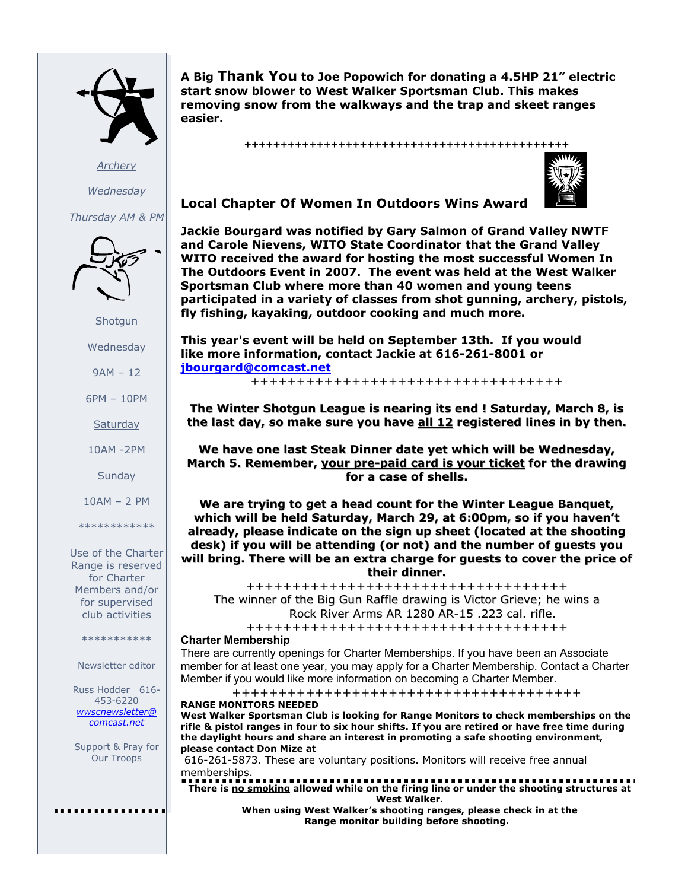

**Archery Wednesday** 

Thursday AM & PM



**Shotgun** 

Wednesday

9AM – 12

6PM – 10PM

**Saturday** 

10AM -2PM

**Sunday** 

10AM – 2 PM

\*\*\*\*\*\*\*\*\*\*\*\*

Use of the Charter Range is reserved for Charter Members and/or for supervised club activities

\*\*\*\*\*\*\*\*\*\*\*

Newsletter editor

Russ Hodder 616- 453-6220 wwscnewsletter@ comcast.net

Support & Pray for Our Troops

. . . . . . . . . . . . . . . .

A Big Thank You to Joe Popowich for donating a 4.5HP 21" electric start snow blower to West Walker Sportsman Club. This makes removing snow from the walkways and the trap and skeet ranges easier.

+++++++++++++++++++++++++++++++++++++++++++++



Local Chapter Of Women In Outdoors Wins Award

Jackie Bourgard was notified by Gary Salmon of Grand Valley NWTF and Carole Nievens, WITO State Coordinator that the Grand Valley WITO received the award for hosting the most successful Women In The Outdoors Event in 2007. The event was held at the West Walker Sportsman Club where more than 40 women and young teens participated in a variety of classes from shot gunning, archery, pistols, fly fishing, kayaking, outdoor cooking and much more.

This year's event will be held on September 13th. If you would like more information, contact Jackie at 616-261-8001 or jbourgard@comcast.net

++++++++++++++++++++++++++++++++++

The Winter Shotgun League is nearing its end ! Saturday, March 8, is the last day, so make sure you have  $all 12$  registered lines in by then.

We have one last Steak Dinner date yet which will be Wednesday, March 5. Remember, your pre-paid card is your ticket for the drawing for a case of shells.

We are trying to get a head count for the Winter League Banquet, which will be held Saturday, March 29, at 6:00pm, so if you haven't already, please indicate on the sign up sheet (located at the shooting desk) if you will be attending (or not) and the number of guests you will bring. There will be an extra charge for guests to cover the price of their dinner.

+++++++++++++++++++++++++++++++++++ The winner of the Big Gun Raffle drawing is Victor Grieve; he wins a Rock River Arms AR 1280 AR-15 .223 cal. rifle.

+++++++++++++++++++++++++++++++++++ Charter Membership

There are currently openings for Charter Memberships. If you have been an Associate member for at least one year, you may apply for a Charter Membership. Contact a Charter Member if you would like more information on becoming a Charter Member.

++++++++++++++++++++++++++++++++++++++

RANGE MONITORS NEEDED West Walker Sportsman Club is looking for Range Monitors to check memberships on the rifle & pistol ranges in four to six hour shifts. If you are retired or have free time during the daylight hours and share an interest in promoting a safe shooting environment, please contact Don Mize at

 616-261-5873. These are voluntary positions. Monitors will receive free annual memberships.

There is no smoking allowed while on the firing line or under the shooting structures at West Walker.

When using West Walker's shooting ranges, please check in at the Range monitor building before shooting.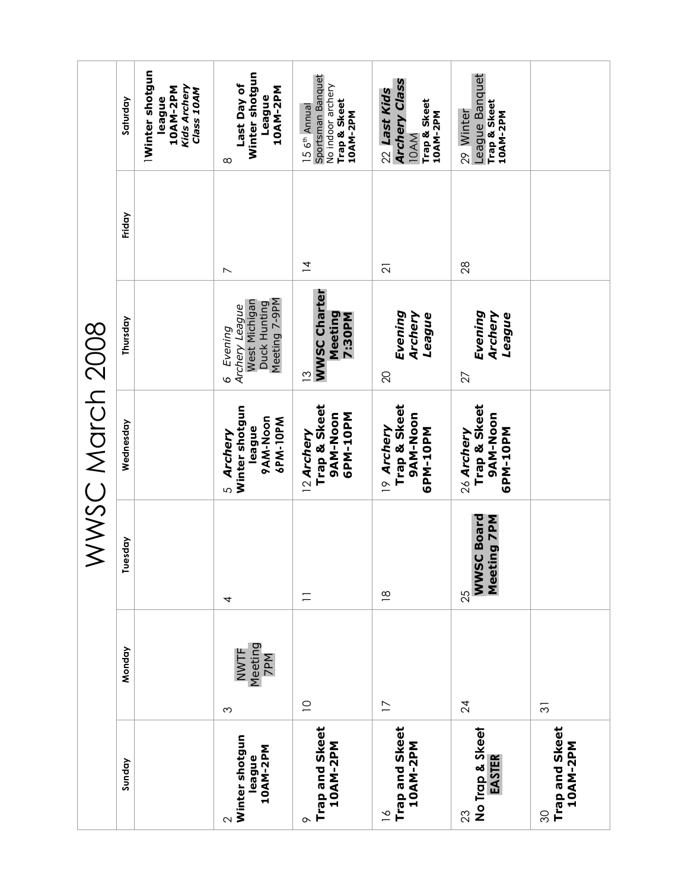| WWSC March 2008 | Saturday  | Winter shotgun<br>Kids Archery<br>10AM-2PM<br>Class 10AM<br>league | Winter shotgun<br>Last Day of<br>10AM-2PM<br>League<br>$\infty$                                  | Sportsman Banquet<br>No indoor archery<br>Trap & Skeet<br>15 6 <sup>th</sup> Annual<br>10AM-2PM | <b>Archery Class</b><br>22 Last Kids<br>Trap & Skeet<br>10AM-2PM<br>10AM | League Banquet<br>Trap & Skeet<br>29 Winter<br>10AM-2PM |                                  |
|-----------------|-----------|--------------------------------------------------------------------|--------------------------------------------------------------------------------------------------|-------------------------------------------------------------------------------------------------|--------------------------------------------------------------------------|---------------------------------------------------------|----------------------------------|
|                 | Friday    |                                                                    | $\overline{\phantom{0}}$                                                                         | $\overline{4}$                                                                                  | $\overline{2}$                                                           | 28                                                      |                                  |
|                 | Thursday  |                                                                    | Meeting 7-9PM<br>West Michigan<br>Duck Hunting<br>Archery League<br>Evening<br>$\mathbf{\Omega}$ | <b>WWSC Charter</b><br>Meeting<br>7:30PM<br>$\tilde{c}$                                         | Evening<br>Archery<br>League<br>$\Omega$                                 | Evening<br>Archery<br>League<br>27                      |                                  |
|                 | Wednesday |                                                                    | Winter shotgun<br>9AM-Noon<br>6PM-10PM<br>league<br>5 Archery                                    | Trap & Skeet<br>9AM-Noon<br>6PM-10PM<br>12 Archery                                              | Trap & Skeet<br>9AM-Noon<br>19 Archery<br>GPM-10PM                       | Trap & Skeet<br>9AM-Noon<br>GPM-10PM<br>26 Archery      |                                  |
|                 | Tuesday   |                                                                    | 4                                                                                                | $\equiv$                                                                                        | $\frac{\infty}{2}$                                                       | <b>WWSC Board</b><br>ting 7PM<br>Meet<br>25             |                                  |
|                 | Monday    |                                                                    | Meeting<br>NWTF<br>7PM<br>$\infty$                                                               | $\supseteq$                                                                                     | $\overline{1}$                                                           | 24                                                      | $\overline{\mathcal{E}}$         |
|                 | Sunday    |                                                                    | Winter shotgun<br>10AM-2PM<br>league<br>$\sim$                                                   | Trap and Skeet<br>10AM-2PM<br>$\sim$                                                            | Trap and Skeet<br>10AM-2PM<br>$\geq$                                     | No Trap & Skeet<br>EASTER<br>23                         | Trap and Skeet<br>10AM-2PM<br>80 |